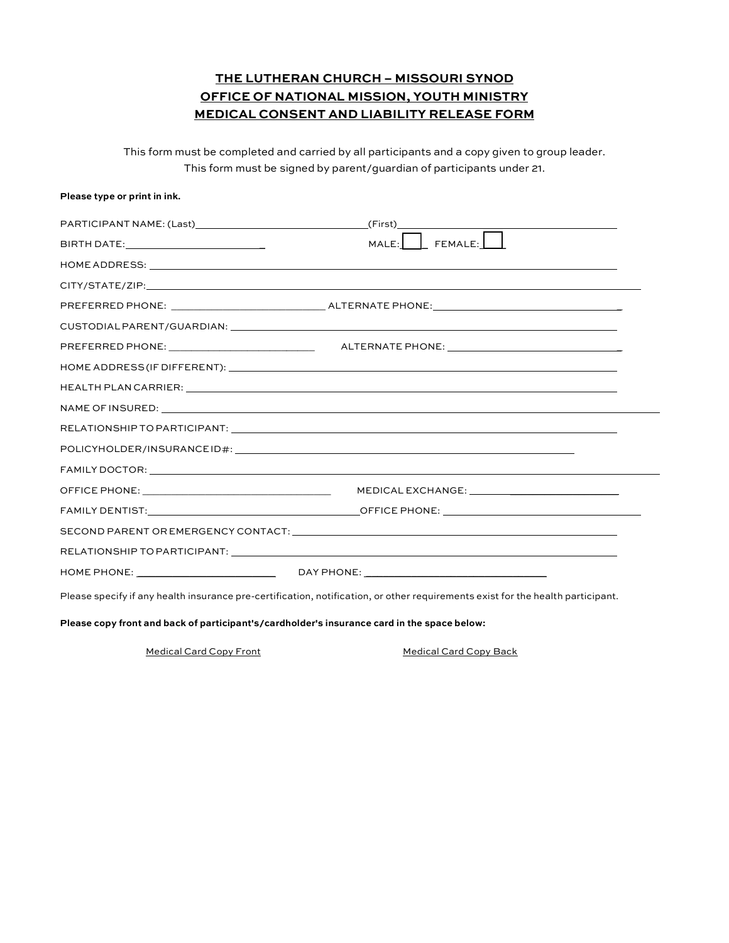## **THE LUTHERAN CHURCH – MISSOURI SYNOD OFFICE OF NATIONAL MISSION, YOUTH MINISTRY MEDICAL CONSENT AND LIABILITY RELEASE FORM**

This form must be completed and carried by all participants and a copy given to group leader. This form must be signed by parent/guardian of participants under 21.

| Please type or print in ink. |                                                                                                                                                                                                                               |
|------------------------------|-------------------------------------------------------------------------------------------------------------------------------------------------------------------------------------------------------------------------------|
|                              |                                                                                                                                                                                                                               |
|                              |                                                                                                                                                                                                                               |
|                              |                                                                                                                                                                                                                               |
|                              |                                                                                                                                                                                                                               |
|                              |                                                                                                                                                                                                                               |
|                              |                                                                                                                                                                                                                               |
|                              |                                                                                                                                                                                                                               |
|                              |                                                                                                                                                                                                                               |
|                              |                                                                                                                                                                                                                               |
|                              |                                                                                                                                                                                                                               |
|                              |                                                                                                                                                                                                                               |
|                              |                                                                                                                                                                                                                               |
|                              | FAMILY DOCTOR: LETTER AND THE CONTROL CONTROL CONTROL CONTROL CONTROL CONTROL CONTROL CONTROL CONTROL CONTROL CONTROL CONTROL CONTROL CONTROL CONTROL CONTROL CONTROL CONTROL CONTROL CONTROL CONTROL CONTROL CONTROL CONTROL |
|                              |                                                                                                                                                                                                                               |
|                              |                                                                                                                                                                                                                               |
|                              |                                                                                                                                                                                                                               |
|                              |                                                                                                                                                                                                                               |
|                              |                                                                                                                                                                                                                               |
|                              | Please specify if any health insurance pre-certification, notification, or other requirements exist for the health participant.                                                                                               |

**Please copy front and back of participant's/cardholder's insurance card in the space below:**

Medical Card Copy Front Medical Card Copy Back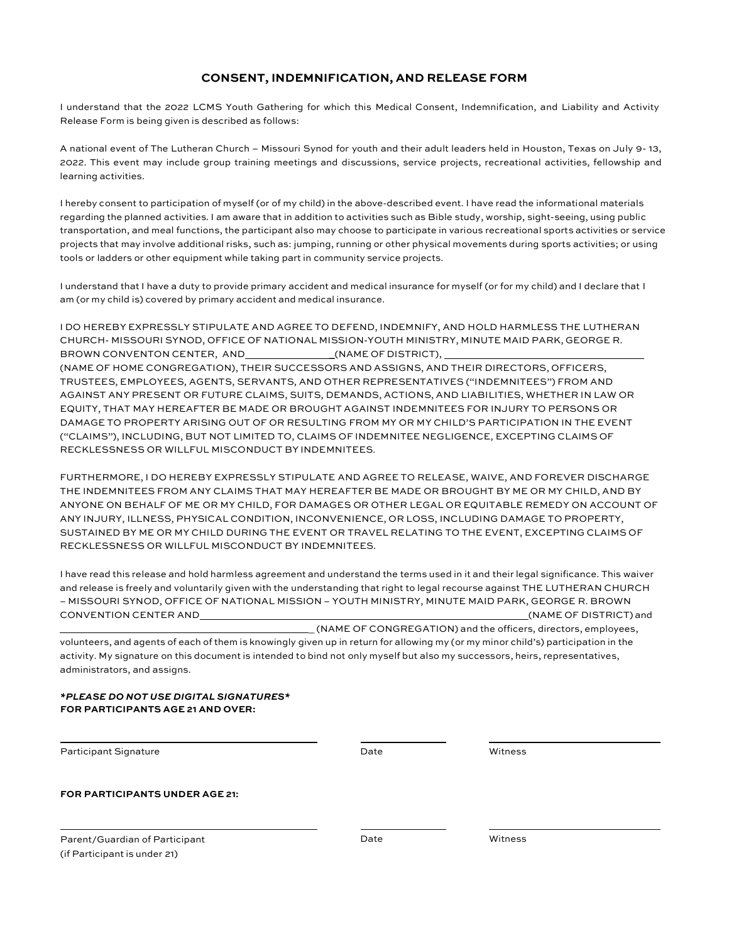## **CONSENT, INDEMNIFICATION, AND RELEASE FORM**

I understand that the 2022 LCMS Youth Gathering for which this Medical Consent, Indemnification, and Liability and Activity Release Form is being given is described as follows:

A national event of The Lutheran Church – Missouri Synod for youth and their adult leaders held in Houston, Texas on July 9- 13, 2022. This event may include group training meetings and discussions, service projects, recreational activities, fellowship and learning activities.

I hereby consent to participation of myself (or of my child) in the above-described event. I have read the informational materials regarding the planned activities. I am aware that in addition to activities such as Bible study, worship, sight-seeing, using public transportation, and meal functions, the participant also may choose to participate in various recreational sports activities or service projects that may involve additional risks, such as: jumping, running or other physical movements during sports activities; or using tools or ladders or other equipment while taking part in community service projects.

I understand that I have a duty to provide primary accident and medical insurance for myself (or for my child) and I declare that I am (or my child is) covered by primary accident and medical insurance.

I DO HEREBY EXPRESSLY STIPULATE AND AGREE TO DEFEND, INDEMNIFY, AND HOLD HARMLESS THE LUTHERAN CHURCH- MISSOURI SYNOD, OFFICE OF NATIONAL MISSION-YOUTH MINISTRY, MINUTE MAID PARK, GEORGE R. BROWN CONVENTON CENTER, AND \_\_\_\_\_\_\_\_\_\_\_\_\_\_\_\_(NAME OF DISTRICT), (NAME OF HOME CONGREGATION), THEIR SUCCESSORS AND ASSIGNS, AND THEIR DIRECTORS, OFFICERS, TRUSTEES, EMPLOYEES, AGENTS, SERVANTS, AND OTHER REPRESENTATIVES ("INDEMNITEES") FROM AND AGAINST ANY PRESENT OR FUTURE CLAIMS, SUITS, DEMANDS, ACTIONS, AND LIABILITIES, WHETHER IN LAW OR EQUITY, THAT MAY HEREAFTER BE MADE OR BROUGHT AGAINST INDEMNITEES FOR INJURY TO PERSONS OR DAMAGE TO PROPERTY ARISING OUT OF OR RESULTING FROM MY OR MY CHILD'S PARTICIPATION IN THE EVENT ("CLAIMS"), INCLUDING, BUT NOT LIMITED TO, CLAIMS OF INDEMNITEE NEGLIGENCE, EXCEPTING CLAIMS OF RECKLESSNESS OR WILLFUL MISCONDUCT BY INDEMNITEES.

FURTHERMORE, I DO HEREBY EXPRESSLY STIPULATE AND AGREE TO RELEASE, WAIVE, AND FOREVER DISCHARGE THE INDEMNITEES FROM ANY CLAIMS THAT MAY HEREAFTER BE MADE OR BROUGHT BY ME OR MY CHILD, AND BY ANYONE ON BEHALF OF ME OR MY CHILD, FOR DAMAGES OR OTHER LEGAL OR EQUITABLE REMEDY ON ACCOUNT OF ANY INJURY, ILLNESS, PHYSICAL CONDITION, INCONVENIENCE, OR LOSS, INCLUDING DAMAGE TO PROPERTY, SUSTAINED BY ME OR MY CHILD DURING THE EVENT OR TRAVEL RELATING TO THE EVENT, EXCEPTING CLAIMS OF RECKLESSNESS OR WILLFUL MISCONDUCT BY INDEMNITEES.

I have read this release and hold harmless agreement and understand the terms used in it and their legal significance. This waiver and release is freely and voluntarily given with the understanding that right to legal recourse against THE LUTHERAN CHURCH – MISSOURI SYNOD, OFFICE OF NATIONAL MISSION – YOUTH MINISTRY, MINUTE MAID PARK, GEORGE R. BROWN CONVENTION CENTER AND (NAME OF DISTRICT) and

\_ (NAME OF CONGREGATION) and the officers, directors, employees, volunteers, and agents of each of them is knowingly given up in return for allowing my (or my minor child's) participation in the activity. My signature on this document is intended to bind not only myself but also my successors, heirs, representatives, administrators, and assigns.

*\*PLEASE DO NOT USE DIGITAL SIGNATURES\** **FOR PARTICIPANTS AGE 21 AND OVER:**

Participant Signature **National Signature Community** Contract Date Date Witness

**FOR PARTICIPANTS UNDER AGE 21:**

Parent/Guardian of Participant (if Participant is under 21)

Date Witness